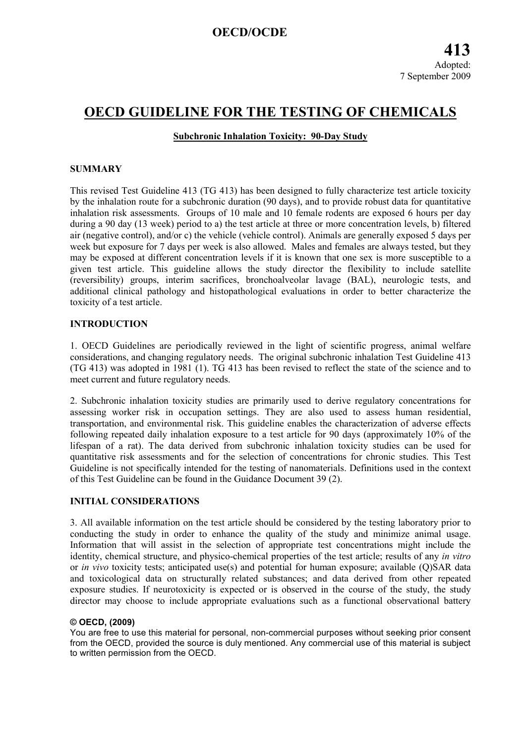# **OECD GUIDELINE FOR THE TESTING OF CHEMICALS**

## **Subchronic Inhalation Toxicity: 90-Day Study**

### **SUMMARY**

 by the inhalation route for a subchronic duration (90 days), and to provide robust data for quantitative inhalation risk assessments. Groups of 10 male and 10 female rodents are exposed 6 hours per day week but exposure for 7 days per week is also allowed. Males and females are always tested, but they additional clinical pathology and histopathological evaluations in order to better characterize the This revised Test Guideline 413 (TG 413) has been designed to fully characterize test article toxicity during a 90 day (13 week) period to a) the test article at three or more concentration levels, b) filtered air (negative control), and/or c) the vehicle (vehicle control). Animals are generally exposed 5 days per may be exposed at different concentration levels if it is known that one sex is more susceptible to a given test article. This guideline allows the study director the flexibility to include satellite (reversibility) groups, interim sacrifices, bronchoalveolar lavage (BAL), neurologic tests, and toxicity of a test article.

## **INTRODUCTION**

 considerations, and changing regulatory needs. The original subchronic inhalation Test Guideline 413 (TG 413) was adopted in 1981 (1). TG 413 has been revised to reflect the state of the science and to 1. OECD Guidelines are periodically reviewed in the light of scientific progress, animal welfare meet current and future regulatory needs.

 2. Subchronic inhalation toxicity studies are primarily used to derive regulatory concentrations for Guideline is not specifically intended for the testing of nanomaterials. Definitions used in the context assessing worker risk in occupation settings. They are also used to assess human residential, transportation, and environmental risk. This guideline enables the characterization of adverse effects following repeated daily inhalation exposure to a test article for 90 days (approximately 10% of the lifespan of a rat). The data derived from subchronic inhalation toxicity studies can be used for quantitative risk assessments and for the selection of concentrations for chronic studies. This Test of this Test Guideline can be found in the Guidance Document 39 (2).

#### **INITIAL CONSIDERATIONS**

 conducting the study in order to enhance the quality of the study and minimize animal usage. and toxicological data on structurally related substances; and data derived from other repeated exposure studies. If neurotoxicity is expected or is observed in the course of the study, the study director may choose to include appropriate evaluations such as a functional observational battery 3. All available information on the test article should be considered by the testing laboratory prior to Information that will assist in the selection of appropriate test concentrations might include the identity, chemical structure, and physico-chemical properties of the test article; results of any *in vitro*  or *in vivo* toxicity tests; anticipated use(s) and potential for human exposure; available (Q)SAR data

#### **© OECD, (2009)**

 You are free to use this material for personal, non-commercial purposes without seeking prior consent from the OECD, provided the source is duly mentioned. Any commercial use of this material is subject to written permission from the OECD.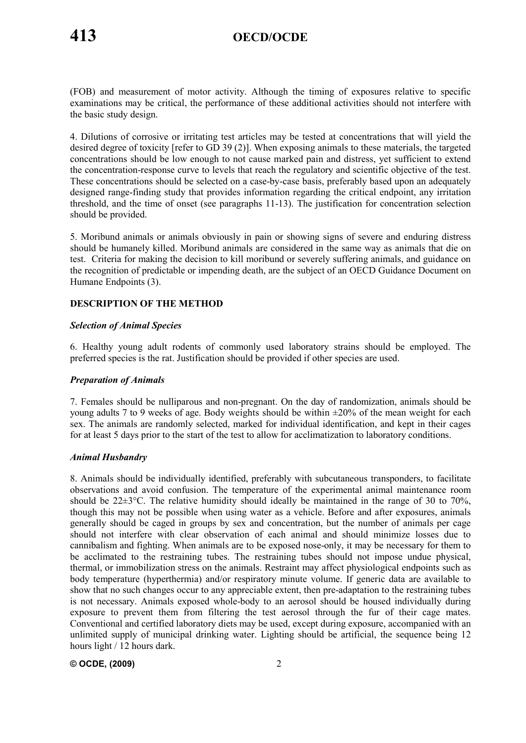(FOB) and measurement of motor activity. Although the timing of exposures relative to specific examinations may be critical, the performance of these additional activities should not interfere with the basic study design.

 the concentration-response curve to levels that reach the regulatory and scientific objective of the test. 4. Dilutions of corrosive or irritating test articles may be tested at concentrations that will yield the desired degree of toxicity [refer to GD 39 (2)]. When exposing animals to these materials, the targeted concentrations should be low enough to not cause marked pain and distress, yet sufficient to extend These concentrations should be selected on a case-by-case basis, preferably based upon an adequately designed range-finding study that provides information regarding the critical endpoint, any irritation threshold, and the time of onset (see paragraphs 11-13). The justification for concentration selection should be provided.

 test. Criteria for making the decision to kill moribund or severely suffering animals, and guidance on 5. Moribund animals or animals obviously in pain or showing signs of severe and enduring distress should be humanely killed. Moribund animals are considered in the same way as animals that die on the recognition of predictable or impending death, are the subject of an OECD Guidance Document on Humane Endpoints (3).

# **DESCRIPTION OF THE METHOD**

#### *Selection of Animal Species*

6. Healthy young adult rodents of commonly used laboratory strains should be employed. The preferred species is the rat. Justification should be provided if other species are used.

#### *Preparation of Animals*

 sex. The animals are randomly selected, marked for individual identification, and kept in their cages 7. Females should be nulliparous and non-pregnant. On the day of randomization, animals should be young adults 7 to 9 weeks of age. Body weights should be within  $\pm 20\%$  of the mean weight for each for at least 5 days prior to the start of the test to allow for acclimatization to laboratory conditions.

#### *Animal Husbandry*

 observations and avoid confusion. The temperature of the experimental animal maintenance room generally should be caged in groups by sex and concentration, but the number of animals per cage should not interfere with clear observation of each animal and should minimize losses due to show that no such changes occur to any appreciable extent, then pre-adaptation to the restraining tubes 8. Animals should be individually identified, preferably with subcutaneous transponders, to facilitate should be  $22\pm3$ °C. The relative humidity should ideally be maintained in the range of 30 to 70%, though this may not be possible when using water as a vehicle. Before and after exposures, animals cannibalism and fighting. When animals are to be exposed nose-only, it may be necessary for them to be acclimated to the restraining tubes. The restraining tubes should not impose undue physical, thermal, or immobilization stress on the animals. Restraint may affect physiological endpoints such as body temperature (hyperthermia) and/or respiratory minute volume. If generic data are available to is not necessary. Animals exposed whole-body to an aerosol should be housed individually during exposure to prevent them from filtering the test aerosol through the fur of their cage mates. Conventional and certified laboratory diets may be used, except during exposure, accompanied with an unlimited supply of municipal drinking water. Lighting should be artificial, the sequence being 12 hours light / 12 hours dark.

**© OCDE, (2009)** 2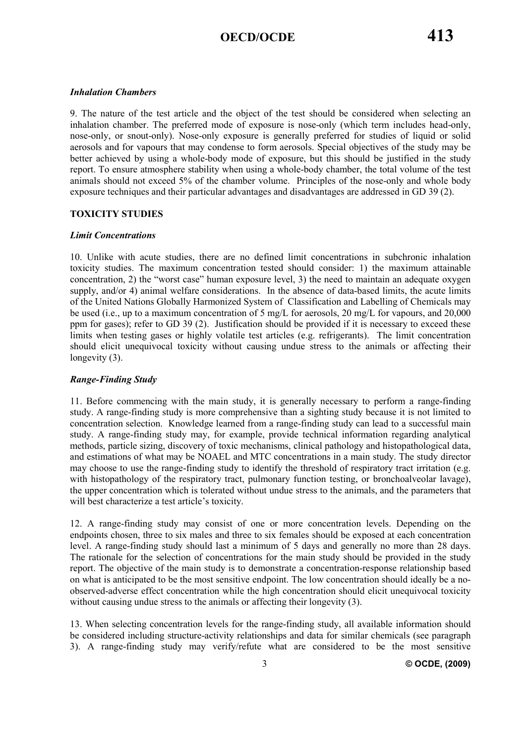#### *Inhalation Chambers*

 report. To ensure atmosphere stability when using a whole-body chamber, the total volume of the test 9. The nature of the test article and the object of the test should be considered when selecting an inhalation chamber. The preferred mode of exposure is nose-only (which term includes head-only, nose-only, or snout-only). Nose-only exposure is generally preferred for studies of liquid or solid aerosols and for vapours that may condense to form aerosols. Special objectives of the study may be better achieved by using a whole-body mode of exposure, but this should be justified in the study animals should not exceed 5% of the chamber volume. Principles of the nose-only and whole body exposure techniques and their particular advantages and disadvantages are addressed in GD 39 (2).

## **TOXICITY STUDIES**

#### *Limit Concentrations*

 10. Unlike with acute studies, there are no defined limit concentrations in subchronic inhalation concentration, 2) the "worst case" human exposure level, 3) the need to maintain an adequate oxygen ppm for gases); refer to GD 39 (2). Justification should be provided if it is necessary to exceed these toxicity studies. The maximum concentration tested should consider: 1) the maximum attainable supply, and/or 4) animal welfare considerations. In the absence of data-based limits, the acute limits of the United Nations Globally Harmonized System of Classification and Labelling of Chemicals may be used (i.e., up to a maximum concentration of 5 mg/L for aerosols, 20 mg/L for vapours, and 20,000 limits when testing gases or highly volatile test articles (e.g. refrigerants). The limit concentration should elicit unequivocal toxicity without causing undue stress to the animals or affecting their longevity (3).

#### *Range-Finding Study*

 concentration selection. Knowledge learned from a range-finding study can lead to a successful main 11. Before commencing with the main study, it is generally necessary to perform a range-finding study. A range-finding study is more comprehensive than a sighting study because it is not limited to study. A range-finding study may, for example, provide technical information regarding analytical methods, particle sizing, discovery of toxic mechanisms, clinical pathology and histopathological data, and estimations of what may be NOAEL and MTC concentrations in a main study. The study director may choose to use the range-finding study to identify the threshold of respiratory tract irritation (e.g. with histopathology of the respiratory tract, pulmonary function testing, or bronchoalveolar lavage), the upper concentration which is tolerated without undue stress to the animals, and the parameters that will best characterize a test article's toxicity.

 endpoints chosen, three to six males and three to six females should be exposed at each concentration level. A range-finding study should last a minimum of 5 days and generally no more than 28 days. level. A range-finding study should last a minimum of 5 days and generally no more than 28 days. The rationale for the selection of concentrations for the main study should be provided in the study 12. A range-finding study may consist of one or more concentration levels. Depending on the report. The objective of the main study is to demonstrate a concentration-response relationship based on what is anticipated to be the most sensitive endpoint. The low concentration should ideally be a noobserved-adverse effect concentration while the high concentration should elicit unequivocal toxicity without causing undue stress to the animals or affecting their longevity (3).

 3). A range-finding study may verify/refute what are considered to be the most sensitive 13. When selecting concentration levels for the range-finding study, all available information should be considered including structure-activity relationships and data for similar chemicals (see paragraph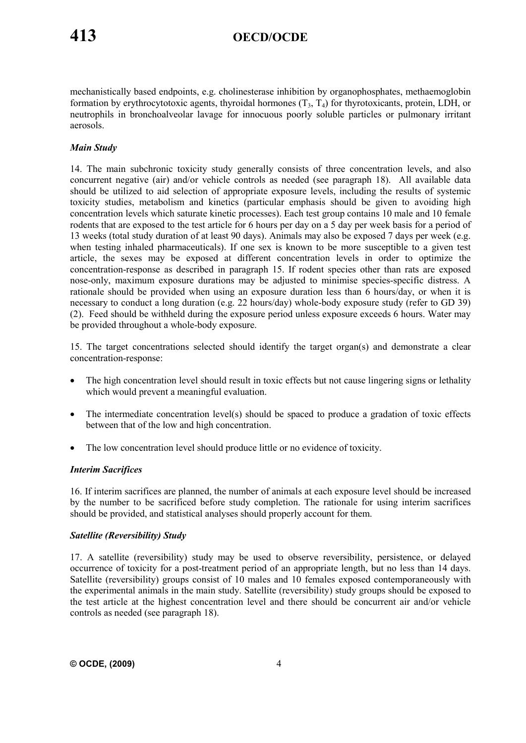neutrophils in bronchoalveolar lavage for innocuous poorly soluble particles or pulmonary irritant mechanistically based endpoints, e.g. cholinesterase inhibition by organophosphates, methaemoglobin formation by erythrocytotoxic agents, thyroidal hormones  $(T_3, T_4)$  for thyrotoxicants, protein, LDH, or aerosols.

# *Main Study*

 14. The main subchronic toxicity study generally consists of three concentration levels, and also concurrent negative (air) and/or vehicle controls as needed (see paragraph 18). All available data necessary to conduct a long duration (e.g. 22 hours/day) whole-body exposure study (refer to GD 39) (2). Feed should be withheld during the exposure period unless exposure exceeds 6 hours. Water may should be utilized to aid selection of appropriate exposure levels, including the results of systemic toxicity studies, metabolism and kinetics (particular emphasis should be given to avoiding high concentration levels which saturate kinetic processes). Each test group contains 10 male and 10 female rodents that are exposed to the test article for 6 hours per day on a 5 day per week basis for a period of 13 weeks (total study duration of at least 90 days). Animals may also be exposed 7 days per week (e.g. when testing inhaled pharmaceuticals). If one sex is known to be more susceptible to a given test article, the sexes may be exposed at different concentration levels in order to optimize the concentration-response as described in paragraph 15. If rodent species other than rats are exposed nose-only, maximum exposure durations may be adjusted to minimise species-specific distress. A rationale should be provided when using an exposure duration less than 6 hours/day, or when it is be provided throughout a whole-body exposure.

15. The target concentrations selected should identify the target organ(s) and demonstrate a clear concentration-response:

- which would prevent a meaningful evaluation. • The high concentration level should result in toxic effects but not cause lingering signs or lethality
- between that of the low and high concentration. • The intermediate concentration level(s) should be spaced to produce a gradation of toxic effects
- The low concentration level should produce little or no evidence of toxicity.

#### *Interim Sacrifices*

16. If interim sacrifices are planned, the number of animals at each exposure level should be increased by the number to be sacrificed before study completion. The rationale for using interim sacrifices should be provided, and statistical analyses should properly account for them.

### *Satellite (Reversibility) Study*

 occurrence of toxicity for a post-treatment period of an appropriate length, but no less than 14 days. the experimental animals in the main study. Satellite (reversibility) study groups should be exposed to controls as needed (see paragraph 18). 17. A satellite (reversibility) study may be used to observe reversibility, persistence, or delayed Satellite (reversibility) groups consist of 10 males and 10 females exposed contemporaneously with the test article at the highest concentration level and there should be concurrent air and/or vehicle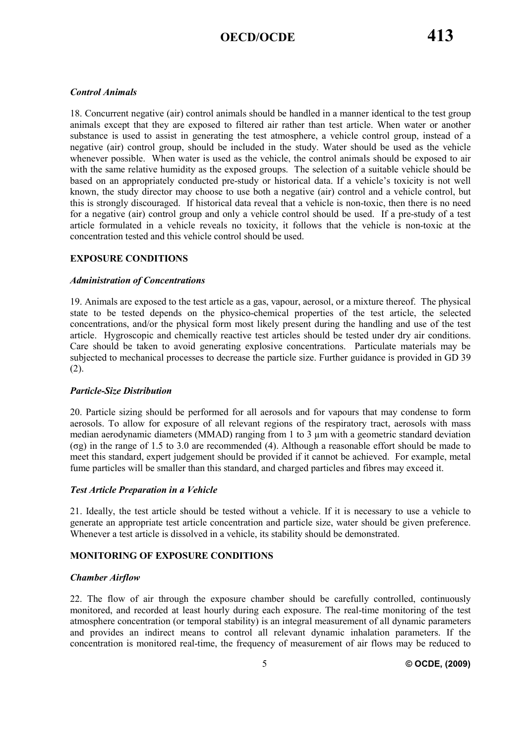### *Control Animals*

 18. Concurrent negative (air) control animals should be handled in a manner identical to the test group substance is used to assist in generating the test atmosphere, a vehicle control group, instead of a negative (air) control group, should be included in the study. Water should be used as the vehicle known, the study director may choose to use both a negative (air) control and a vehicle control, but this is strongly discouraged. If historical data reveal that a vehicle is non-toxic, then there is no need for a negative (air) control group and only a vehicle control should be used. If a pre-study of a test article formulated in a vehicle reveals no toxicity, it follows that the vehicle is non-toxic at the concentration tested and this vehicle control should be used. animals except that they are exposed to filtered air rather than test article. When water or another whenever possible. When water is used as the vehicle, the control animals should be exposed to air with the same relative humidity as the exposed groups. The selection of a suitable vehicle should be based on an appropriately conducted pre-study or historical data. If a vehicle's toxicity is not well

#### **EXPOSURE CONDITIONS**

#### *Administration of Concentrations*

 concentrations, and/or the physical form most likely present during the handling and use of the test article. Hygroscopic and chemically reactive test articles should be tested under dry air conditions. 19. Animals are exposed to the test article as a gas, vapour, aerosol, or a mixture thereof. The physical state to be tested depends on the physico-chemical properties of the test article, the selected Care should be taken to avoid generating explosive concentrations. Particulate materials may be subjected to mechanical processes to decrease the particle size. Further guidance is provided in GD 39 (2).

#### *Particle-Size Distribution*

 20. Particle sizing should be performed for all aerosols and for vapours that may condense to form aerosols. To allow for exposure of all relevant regions of the respiratory tract, aerosols with mass (σg) in the range of 1.5 to 3.0 are recommended (4). Although a reasonable effort should be made to median aerodynamic diameters (MMAD) ranging from 1 to 3  $\mu$ m with a geometric standard deviation meet this standard, expert judgement should be provided if it cannot be achieved. For example, metal fume particles will be smaller than this standard, and charged particles and fibres may exceed it.

#### *Test Article Preparation in a Vehicle*

 generate an appropriate test article concentration and particle size, water should be given preference. Whenever a test article is dissolved in a vehicle, its stability should be demonstrated. 21. Ideally, the test article should be tested without a vehicle. If it is necessary to use a vehicle to

# **MONITORING OF EXPOSURE CONDITIONS**

#### *Chamber Airflow*

22. The flow of air through the exposure chamber should be carefully controlled, continuously monitored, and recorded at least hourly during each exposure. The real-time monitoring of the test atmosphere concentration (or temporal stability) is an integral measurement of all dynamic parameters and provides an indirect means to control all relevant dynamic inhalation parameters. If the concentration is monitored real-time, the frequency of measurement of air flows may be reduced to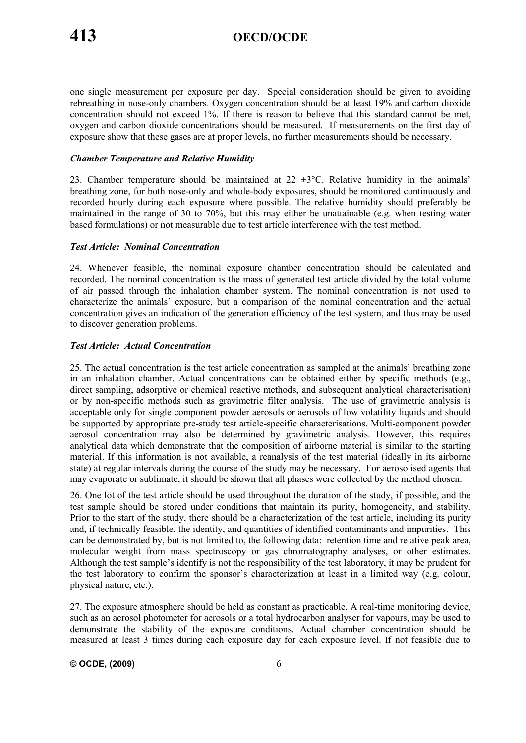exposure show that these gases are at proper levels, no further measurements should be necessary. one single measurement per exposure per day. Special consideration should be given to avoiding rebreathing in nose-only chambers. Oxygen concentration should be at least 19% and carbon dioxide concentration should not exceed 1%. If there is reason to believe that this standard cannot be met, oxygen and carbon dioxide concentrations should be measured. If measurements on the first day of

## *Chamber Temperature and Relative Humidity*

23. Chamber temperature should be maintained at  $22 \pm 3$ °C. Relative humidity in the animals' breathing zone, for both nose-only and whole-body exposures, should be monitored continuously and recorded hourly during each exposure where possible. The relative humidity should preferably be maintained in the range of 30 to 70%, but this may either be unattainable (e.g. when testing water based formulations) or not measurable due to test article interference with the test method.

### *Test Article: Nominal Concentration*

 characterize the animals' exposure, but a comparison of the nominal concentration and the actual 24. Whenever feasible, the nominal exposure chamber concentration should be calculated and recorded. The nominal concentration is the mass of generated test article divided by the total volume of air passed through the inhalation chamber system. The nominal concentration is not used to concentration gives an indication of the generation efficiency of the test system, and thus may be used to discover generation problems.

#### *Test Article: Actual Concentration*

 acceptable only for single component powder aerosols or aerosols of low volatility liquids and should state) at regular intervals during the course of the study may be necessary. For aerosolised agents that 25. The actual concentration is the test article concentration as sampled at the animals' breathing zone in an inhalation chamber. Actual concentrations can be obtained either by specific methods (e.g., direct sampling, adsorptive or chemical reactive methods, and subsequent analytical characterisation) or by non-specific methods such as gravimetric filter analysis. The use of gravimetric analysis is be supported by appropriate pre-study test article-specific characterisations. Multi-component powder aerosol concentration may also be determined by gravimetric analysis. However, this requires analytical data which demonstrate that the composition of airborne material is similar to the starting material. If this information is not available, a reanalysis of the test material (ideally in its airborne may evaporate or sublimate, it should be shown that all phases were collected by the method chosen.

 26. One lot of the test article should be used throughout the duration of the study, if possible, and the test sample should be stored under conditions that maintain its purity, homogeneity, and stability. Prior to the start of the study, there should be a characterization of the test article, including its purity physical nature, etc.). and, if technically feasible, the identity, and quantities of identified contaminants and impurities. This can be demonstrated by, but is not limited to, the following data: retention time and relative peak area, molecular weight from mass spectroscopy or gas chromatography analyses, or other estimates. Although the test sample's identify is not the responsibility of the test laboratory, it may be prudent for the test laboratory to confirm the sponsor's characterization at least in a limited way (e.g. colour,

 demonstrate the stability of the exposure conditions. Actual chamber concentration should be 27. The exposure atmosphere should be held as constant as practicable. A real-time monitoring device, such as an aerosol photometer for aerosols or a total hydrocarbon analyser for vapours, may be used to measured at least 3 times during each exposure day for each exposure level. If not feasible due to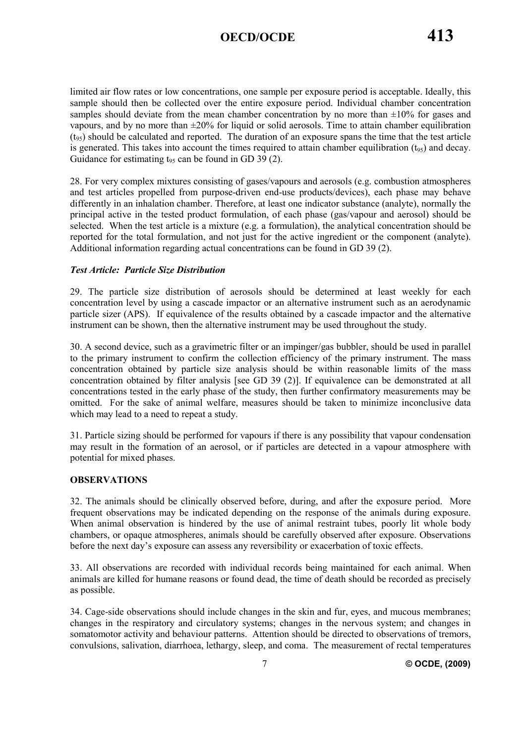vapours, and by no more than ±20% for liquid or solid aerosols. Time to attain chamber equilibration  $(t_{95})$  should be calculated and reported. The duration of an exposure spans the time that the test article is generated. This takes into account the times required to attain chamber equilibration  $(t_{95})$  and decay. limited air flow rates or low concentrations, one sample per exposure period is acceptable. Ideally, this sample should then be collected over the entire exposure period. Individual chamber concentration samples should deviate from the mean chamber concentration by no more than  $\pm 10\%$  for gases and Guidance for estimating  $t_{95}$  can be found in GD 39 (2).

 reported for the total formulation, and not just for the active ingredient or the component (analyte). 28. For very complex mixtures consisting of gases/vapours and aerosols (e.g. combustion atmospheres and test articles propelled from purpose-driven end-use products/devices), each phase may behave differently in an inhalation chamber. Therefore, at least one indicator substance (analyte), normally the principal active in the tested product formulation, of each phase (gas/vapour and aerosol) should be selected. When the test article is a mixture (e.g. a formulation), the analytical concentration should be Additional information regarding actual concentrations can be found in GD 39 (2).

#### *Test Article: Particle Size Distribution*

 particle sizer (APS). If equivalence of the results obtained by a cascade impactor and the alternative instrument can be shown, then the alternative instrument may be used throughout the study. 29. The particle size distribution of aerosols should be determined at least weekly for each concentration level by using a cascade impactor or an alternative instrument such as an aerodynamic

 concentration obtained by filter analysis [see GD 39 (2)]. If equivalence can be demonstrated at all concentrations tested in the early phase of the study, then further confirmatory measurements may be 30. A second device, such as a gravimetric filter or an impinger/gas bubbler, should be used in parallel to the primary instrument to confirm the collection efficiency of the primary instrument. The mass concentration obtained by particle size analysis should be within reasonable limits of the mass omitted. For the sake of animal welfare, measures should be taken to minimize inconclusive data which may lead to a need to repeat a study.

31. Particle sizing should be performed for vapours if there is any possibility that vapour condensation may result in the formation of an aerosol, or if particles are detected in a vapour atmosphere with potential for mixed phases.

#### **OBSERVATIONS**

frequent observations may be indicated depending on the response of the animals during exposure. frequent observations may be indicated depending on the response of the animals during exposure. When animal observation is hindered by the use of animal restraint tubes, poorly lit whole body 32. The animals should be clinically observed before, during, and after the exposure period. More chambers, or opaque atmospheres, animals should be carefully observed after exposure. Observations before the next day's exposure can assess any reversibility or exacerbation of toxic effects.

33. All observations are recorded with individual records being maintained for each animal. When animals are killed for humane reasons or found dead, the time of death should be recorded as precisely as possible.

 34. Cage-side observations should include changes in the skin and fur, eyes, and mucous membranes; changes in the respiratory and circulatory systems; changes in the nervous system; and changes in somatomotor activity and behaviour patterns. Attention should be directed to observations of tremors, convulsions, salivation, diarrhoea, lethargy, sleep, and coma. The measurement of rectal temperatures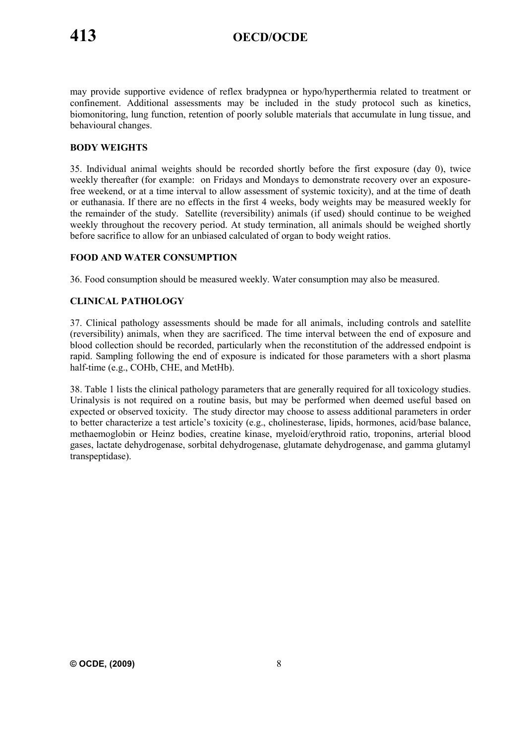may provide supportive evidence of reflex bradypnea or hypo/hyperthermia related to treatment or biomonitoring, lung function, retention of poorly soluble materials that accumulate in lung tissue, and confinement. Additional assessments may be included in the study protocol such as kinetics, behavioural changes.

## **BODY WEIGHTS**

 free weekend, or at a time interval to allow assessment of systemic toxicity), and at the time of death the remainder of the study. Satellite (reversibility) animals (if used) should continue to be weighed weekly throughout the recovery period. At study termination, all animals should be weighed shortly before sacrifice to allow for an unbiased calculated of organ to body weight ratios. 35. Individual animal weights should be recorded shortly before the first exposure (day 0), twice weekly thereafter (for example: on Fridays and Mondays to demonstrate recovery over an exposureor euthanasia. If there are no effects in the first 4 weeks, body weights may be measured weekly for

## **FOOD AND WATER CONSUMPTION**

36. Food consumption should be measured weekly. Water consumption may also be measured.

# **CLINICAL PATHOLOGY**

 blood collection should be recorded, particularly when the reconstitution of the addressed endpoint is 37. Clinical pathology assessments should be made for all animals, including controls and satellite (reversibility) animals, when they are sacrificed. The time interval between the end of exposure and rapid. Sampling following the end of exposure is indicated for those parameters with a short plasma half-time (e.g., COHb, CHE, and MetHb).

38. Table 1 lists the clinical pathology parameters that are generally required for all toxicology studies. Urinalysis is not required on a routine basis, but may be performed when deemed useful based on expected or observed toxicity. The study director may choose to assess additional parameters in order to better characterize a test article's toxicity (e.g., cholinesterase, lipids, hormones, acid/base balance, methaemoglobin or Heinz bodies, creatine kinase, myeloid/erythroid ratio, troponins, arterial blood gases, lactate dehydrogenase, sorbital dehydrogenase, glutamate dehydrogenase, and gamma glutamyl transpeptidase).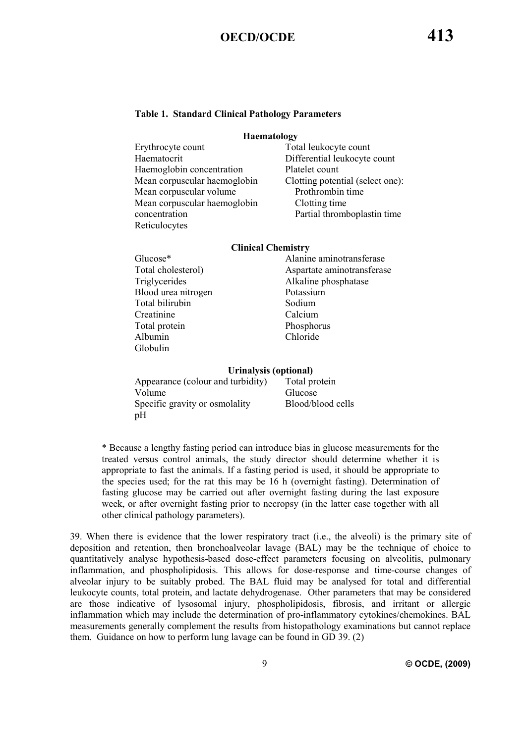#### **Table 1. Standard Clinical Pathology Parameters**

#### **Haematology**

| Erythrocyte count            | Total leukocyte count            |
|------------------------------|----------------------------------|
| Haematocrit                  | Differential leukocyte count     |
| Haemoglobin concentration    | Platelet count                   |
| Mean corpuscular haemoglobin | Clotting potential (select one): |
| Mean corpuscular volume      | Prothrombin time                 |
| Mean corpuscular haemoglobin | Clotting time                    |
| concentration                | Partial thromboplastin time      |
| Reticulocytes                |                                  |

#### **Clinical Chemistry**

Blood urea nitrogen Potassium Total bilirubin Sodium Creatinine Calcium Total protein Phosphorus Albumin Chloride Globulin

Glucose\* Alanine aminotransferase Total cholesterol) and Aspartate aminotransferase Triglycerides Alkaline phosphatase

#### **Urinalysis (optional)**

| Appearance (colour and turbidity) | Total protein     |
|-----------------------------------|-------------------|
| Volume                            | Glucose           |
| Specific gravity or osmolality    | Blood/blood cells |
| pH                                |                   |

 treated versus control animals, the study director should determine whether it is appropriate to fast the animals. If a fasting period is used, it should be appropriate to the species used; for the rat this may be 16 h (overnight fasting). Determination of fasting glucose may be carried out after overnight fasting during the last exposure week, or after overnight fasting prior to necropsy (in the latter case together with all \* Because a lengthy fasting period can introduce bias in glucose measurements for the other clinical pathology parameters).

 quantitatively analyse hypothesis-based dose-effect parameters focusing on alveolitis, pulmonary measurements generally complement the results from histopathology examinations but cannot replace them. Guidance on how to perform lung lavage can be found in GD 39. (2) **© OCDE, (2009)**<br>9 **© OCDE, (2009)** 39. When there is evidence that the lower respiratory tract (i.e., the alveoli) is the primary site of deposition and retention, then bronchoalveolar lavage (BAL) may be the technique of choice to inflammation, and phospholipidosis. This allows for dose-response and time-course changes of alveolar injury to be suitably probed. The BAL fluid may be analysed for total and differential leukocyte counts, total protein, and lactate dehydrogenase. Other parameters that may be considered are those indicative of lysosomal injury, phospholipidosis, fibrosis, and irritant or allergic inflammation which may include the determination of pro-inflammatory cytokines/chemokines. BAL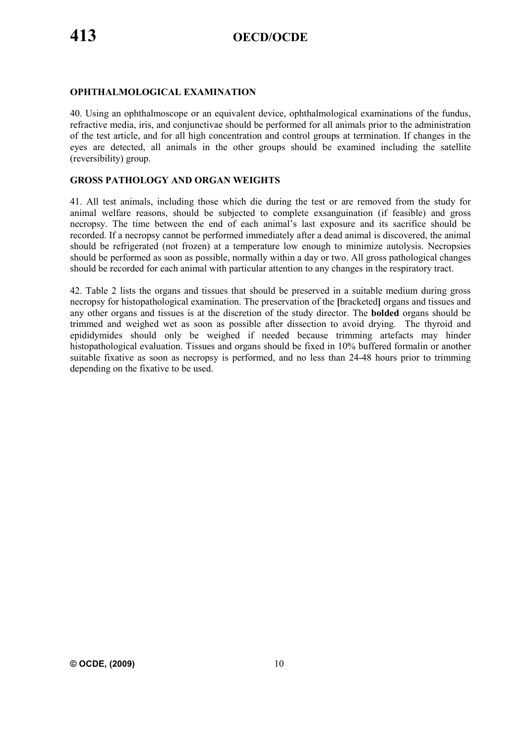### **OPHTHALMOLOGICAL EXAMINATION**

 of the test article, and for all high concentration and control groups at termination. If changes in the 40. Using an ophthalmoscope or an equivalent device, ophthalmological examinations of the fundus, refractive media, iris, and conjunctivae should be performed for all animals prior to the administration eyes are detected, all animals in the other groups should be examined including the satellite (reversibility) group.

# **GROSS PATHOLOGY AND ORGAN WEIGHTS**

41. All test animals, including those which die during the test or are removed from the study for animal welfare reasons, should be subjected to complete exsanguination (if feasible) and gross necropsy. The time between the end of each animal's last exposure and its sacrifice should be recorded. If a necropsy cannot be performed immediately after a dead animal is discovered, the animal should be refrigerated (not frozen) at a temperature low enough to minimize autolysis. Necropsies should be performed as soon as possible, normally within a day or two. All gross pathological changes should be recorded for each animal with particular attention to any changes in the respiratory tract.

 histopathological evaluation. Tissues and organs should be fixed in 10% buffered formalin or another suitable fixative as soon as necropsy is performed, and no less than 24-48 hours prior to trimming 42. Table 2 lists the organs and tissues that should be preserved in a suitable medium during gross necropsy for histopathological examination. The preservation of the **[**bracketed**]** organs and tissues and any other organs and tissues is at the discretion of the study director. The **bolded** organs should be trimmed and weighed wet as soon as possible after dissection to avoid drying. The thyroid and epididymides should only be weighed if needed because trimming artefacts may hinder depending on the fixative to be used.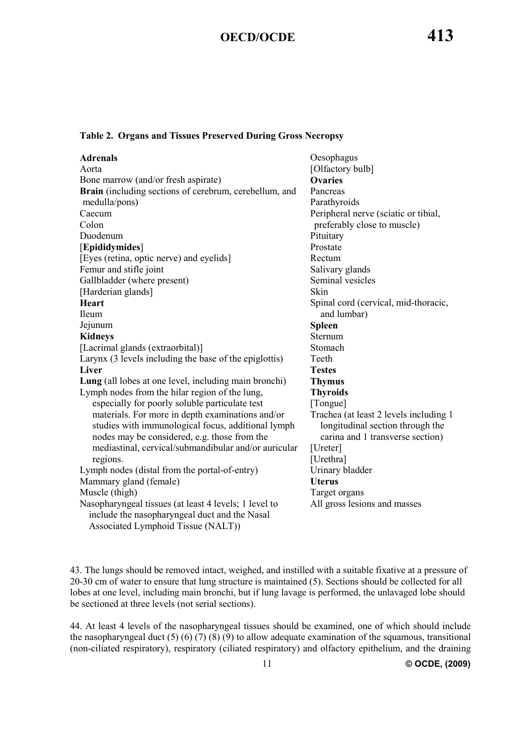#### **Table 2. Organs and Tissues Preserved During Gross Necropsy**

| <b>Adrenals</b>                                        | Oesophagus                             |
|--------------------------------------------------------|----------------------------------------|
| Aorta                                                  | [Olfactory bulb]                       |
| Bone marrow (and/or fresh aspirate)                    | <b>Ovaries</b>                         |
| Brain (including sections of cerebrum, cerebellum, and | Pancreas                               |
| medulla/pons)                                          | Parathyroids                           |
| Caecum                                                 | Peripheral nerve (sciatic or tibial,   |
| Colon                                                  | preferably close to muscle)            |
| Duodenum                                               | Pituitary                              |
| [Epididymides]                                         | Prostate                               |
| [Eyes (retina, optic nerve) and eyelids]               | Rectum                                 |
| Femur and stifle joint                                 | Salivary glands                        |
| Gallbladder (where present)                            | Seminal vesicles                       |
| [Harderian glands]                                     | Skin                                   |
| <b>Heart</b>                                           | Spinal cord (cervical, mid-thoracic,   |
| Ileum                                                  | and lumbar)                            |
| Jejunum                                                | <b>Spleen</b>                          |
| <b>Kidneys</b>                                         | Sternum                                |
| [Lacrimal glands (extraorbital)]                       | Stomach                                |
| Larynx (3 levels including the base of the epiglottis) | Teeth                                  |
| Liver                                                  | <b>Testes</b>                          |
| Lung (all lobes at one level, including main bronchi)  | <b>Thymus</b>                          |
| Lymph nodes from the hilar region of the lung,         | <b>Thyroids</b>                        |
| especially for poorly soluble particulate test         | [Tongue]                               |
| materials. For more in depth examinations and/or       | Trachea (at least 2 levels including 1 |
| studies with immunological focus, additional lymph     | longitudinal section through the       |
| nodes may be considered, e.g. those from the           | carina and 1 transverse section)       |
| mediastinal, cervical/submandibular and/or auricular   | [Ureter]                               |
| regions.                                               | [Urethra]                              |
| Lymph nodes (distal from the portal-of-entry)          | Urinary bladder                        |
| Mammary gland (female)                                 | <b>Uterus</b>                          |
| Muscle (thigh)                                         | Target organs                          |
| Nasopharyngeal tissues (at least 4 levels; 1 level to  | All gross lesions and masses           |
| include the nasopharyngeal duct and the Nasal          |                                        |
| Associated Lymphoid Tissue (NALT))                     |                                        |

 43. The lungs should be removed intact, weighed, and instilled with a suitable fixative at a pressure of lobes at one level, including main bronchi, but if lung lavage is performed, the unlavaged lobe should 20-30 cm of water to ensure that lung structure is maintained (5). Sections should be collected for all be sectioned at three levels (not serial sections).

 the nasopharyngeal duct (5) (6) (7) (8) (9) to allow adequate examination of the squamous, transitional 44. At least 4 levels of the nasopharyngeal tissues should be examined, one of which should include (non-ciliated respiratory), respiratory (ciliated respiratory) and olfactory epithelium, and the draining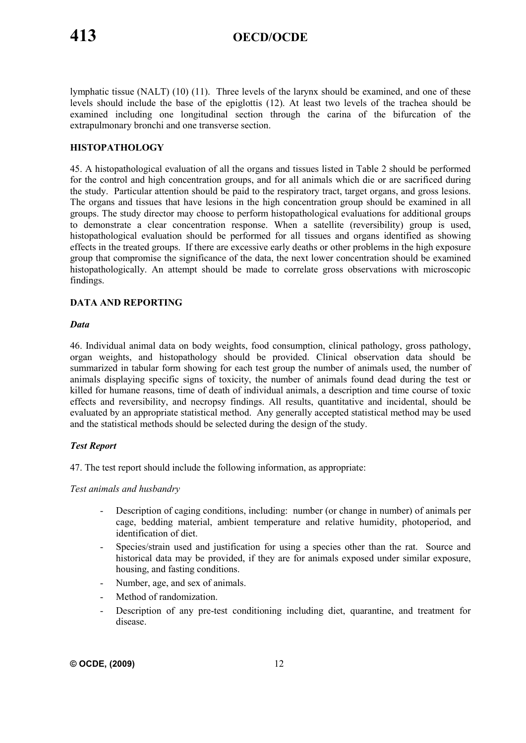lymphatic tissue (NALT) (10) (11). Three levels of the larynx should be examined, and one of these levels should include the base of the epiglottis (12). At least two levels of the trachea should be examined including one longitudinal section through the carina of the bifurcation of the extrapulmonary bronchi and one transverse section.

# **HISTOPATHOLOGY**

 45. A histopathological evaluation of all the organs and tissues listed in Table 2 should be performed the study. Particular attention should be paid to the respiratory tract, target organs, and gross lesions. The organs and tissues that have lesions in the high concentration group should be examined in all groups. The study director may choose to perform histopathological evaluations for additional groups for the control and high concentration groups, and for all animals which die or are sacrificed during to demonstrate a clear concentration response. When a satellite (reversibility) group is used, histopathological evaluation should be performed for all tissues and organs identified as showing effects in the treated groups. If there are excessive early deaths or other problems in the high exposure group that compromise the significance of the data, the next lower concentration should be examined histopathologically. An attempt should be made to correlate gross observations with microscopic findings.

## **DATA AND REPORTING**

#### *Data*

 summarized in tabular form showing for each test group the number of animals used, the number of animals displaying specific signs of toxicity, the number of animals found dead during the test or killed for humane reasons, time of death of individual animals, a description and time course of toxic and the statistical methods should be selected during the design of the study. 46. Individual animal data on body weights, food consumption, clinical pathology, gross pathology, organ weights, and histopathology should be provided. Clinical observation data should be effects and reversibility, and necropsy findings. All results, quantitative and incidental, should be evaluated by an appropriate statistical method. Any generally accepted statistical method may be used

# *Test Report*

47. The test report should include the following information, as appropriate:

#### *Test animals and husbandry*

- Description of caging conditions, including: number (or change in number) of animals per cage, bedding material, ambient temperature and relative humidity, photoperiod, and identification of diet.
- historical data may be provided, if they are for animals exposed under similar exposure, - Species/strain used and justification for using a species other than the rat. Source and housing, and fasting conditions.
- Number, age, and sex of animals.
- Method of randomization.
- Description of any pre-test conditioning including diet, quarantine, and treatment for disease.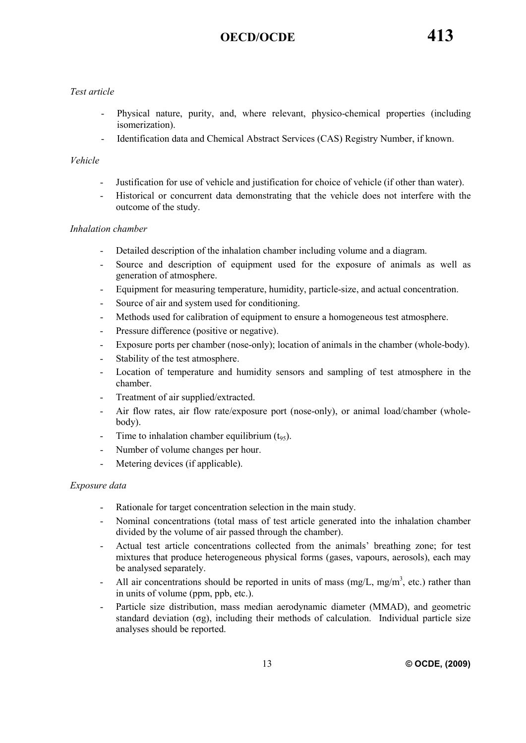## *Test article*

- Physical nature, purity, and, where relevant, physico-chemical properties (including isomerization).
- Identification data and Chemical Abstract Services (CAS) Registry Number, if known.

#### *Vehicle*

- Justification for use of vehicle and justification for choice of vehicle (if other than water).
- - Historical or concurrent data demonstrating that the vehicle does not interfere with the outcome of the study.

#### *Inhalation chamber*

- Detailed description of the inhalation chamber including volume and a diagram.
- - Source and description of equipment used for the exposure of animals as well as generation of atmosphere.
- Equipment for measuring temperature, humidity, particle-size, and actual concentration.
- Source of air and system used for conditioning.
- Methods used for calibration of equipment to ensure a homogeneous test atmosphere.
- Pressure difference (positive or negative).
- Exposure ports per chamber (nose-only); location of animals in the chamber (whole-body).
- Stability of the test atmosphere.
- Location of temperature and humidity sensors and sampling of test atmosphere in the chamber.
- Treatment of air supplied/extracted.
- Air flow rates, air flow rate/exposure port (nose-only), or animal load/chamber (wholebody).
- Time to inhalation chamber equilibrium  $(t_{95})$ .
- Number of volume changes per hour.
- Metering devices (if applicable).

#### *Exposure data*

- Rationale for target concentration selection in the main study.
- divided by the volume of air passed through the chamber). - Nominal concentrations (total mass of test article generated into the inhalation chamber
- Actual test article concentrations collected from the animals' breathing zone; for test mixtures that produce heterogeneous physical forms (gases, vapours, aerosols), each may be analysed separately.
- All air concentrations should be reported in units of mass  $(mg/L, mg/m<sup>3</sup>, etc.)$  rather than in units of volume (ppm, ppb, etc.).
- standard deviation (σg), including their methods of calculation. Individual particle size Particle size distribution, mass median aerodynamic diameter (MMAD), and geometric analyses should be reported.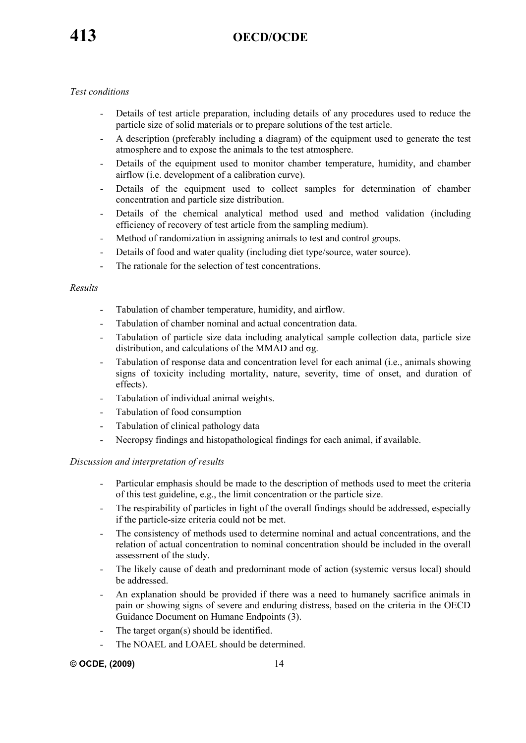# *Test conditions*

- Details of test article preparation, including details of any procedures used to reduce the particle size of solid materials or to prepare solutions of the test article.
- A description (preferably including a diagram) of the equipment used to generate the test atmosphere and to expose the animals to the test atmosphere.
- Details of the equipment used to monitor chamber temperature, humidity, and chamber airflow (i.e. development of a calibration curve).
- - Details of the equipment used to collect samples for determination of chamber concentration and particle size distribution.
- Details of the chemical analytical method used and method validation (including efficiency of recovery of test article from the sampling medium).
- Method of randomization in assigning animals to test and control groups.
- Details of food and water quality (including diet type/source, water source).
- The rationale for the selection of test concentrations.

# *Results*

- Tabulation of chamber temperature, humidity, and airflow.
- Tabulation of chamber nominal and actual concentration data.
- - Tabulation of particle size data including analytical sample collection data, particle size distribution, and calculations of the MMAD and σg.
- Tabulation of response data and concentration level for each animal (i.e., animals showing signs of toxicity including mortality, nature, severity, time of onset, and duration of effects).
- Tabulation of individual animal weights.
- Tabulation of food consumption
- Tabulation of clinical pathology data
- Necropsy findings and histopathological findings for each animal, if available.

# *Discussion and interpretation of results*

- Particular emphasis should be made to the description of methods used to meet the criteria of this test guideline, e.g., the limit concentration or the particle size.
- The respirability of particles in light of the overall findings should be addressed, especially if the particle-size criteria could not be met.
- - The consistency of methods used to determine nominal and actual concentrations, and the relation of actual concentration to nominal concentration should be included in the overall assessment of the study.
- be addressed. The likely cause of death and predominant mode of action (systemic versus local) should
- be addressed.<br>- An explanation should be provided if there was a need to humanely sacrifice animals in pain or showing signs of severe and enduring distress, based on the criteria in the OECD Guidance Document on Humane Endpoints (3).
- The target organ(s) should be identified.
- The NOAEL and LOAEL should be determined.

# **© OCDE, (2009)** 14